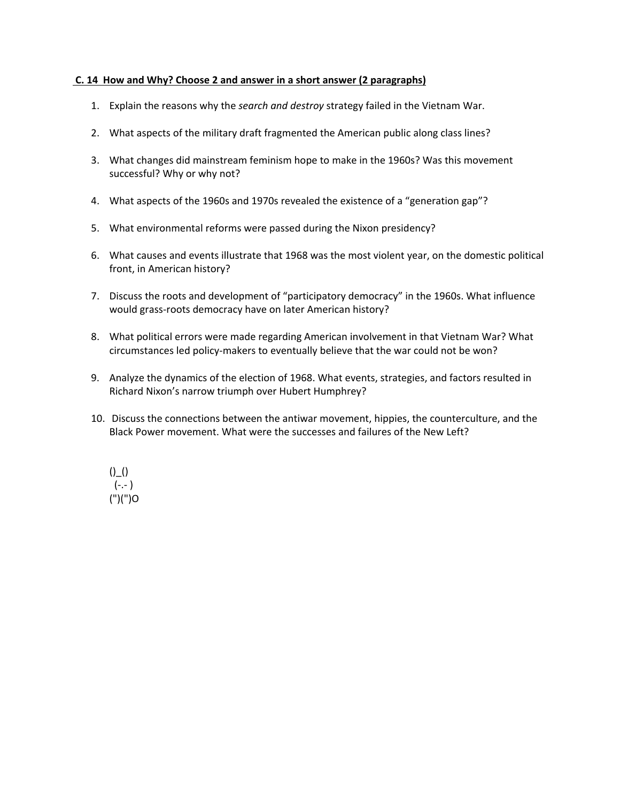## **C. 14 How and Why? Choose 2 and answer in a short answer (2 paragraphs)**

- 1. Explain the reasons why the *search and destroy* strategy failed in the Vietnam War.
- 2. What aspects of the military draft fragmented the American public along class lines?
- 3. What changes did mainstream feminism hope to make in the 1960s? Was this movement successful? Why or why not?
- 4. What aspects of the 1960s and 1970s revealed the existence of a "generation gap"?
- 5. What environmental reforms were passed during the Nixon presidency?
- 6. What causes and events illustrate that 1968 was the most violent year, on the domestic political front, in American history?
- 7. Discuss the roots and development of "participatory democracy" in the 1960s. What influence would grass-roots democracy have on later American history?
- 8. What political errors were made regarding American involvement in that Vietnam War? What circumstances led policy-makers to eventually believe that the war could not be won?
- 9. Analyze the dynamics of the election of 1968. What events, strategies, and factors resulted in Richard Nixon's narrow triumph over Hubert Humphrey?
- 10. Discuss the connections between the antiwar movement, hippies, the counterculture, and the Black Power movement. What were the successes and failures of the New Left?

$$
()_{-}()
$$
  
(-,-)  
(")()")O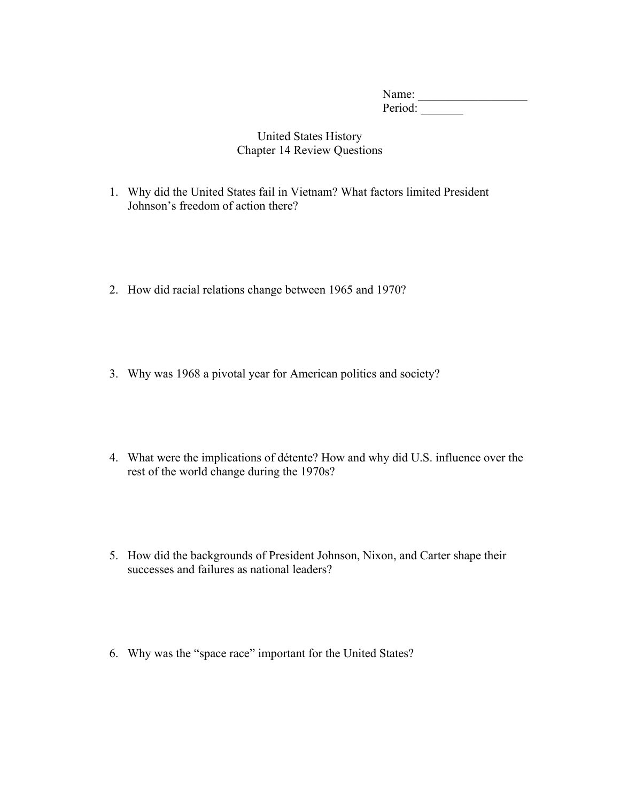Name: \_\_\_\_\_\_\_\_\_\_\_\_\_\_\_\_\_\_ Period:

## United States History Chapter 14 Review Questions

- 1. Why did the United States fail in Vietnam? What factors limited President Johnson's freedom of action there?
- 2. How did racial relations change between 1965 and 1970?
- 3. Why was 1968 a pivotal year for American politics and society?
- 4. What were the implications of détente? How and why did U.S. influence over the rest of the world change during the 1970s?
- 5. How did the backgrounds of President Johnson, Nixon, and Carter shape their successes and failures as national leaders?
- 6. Why was the "space race" important for the United States?